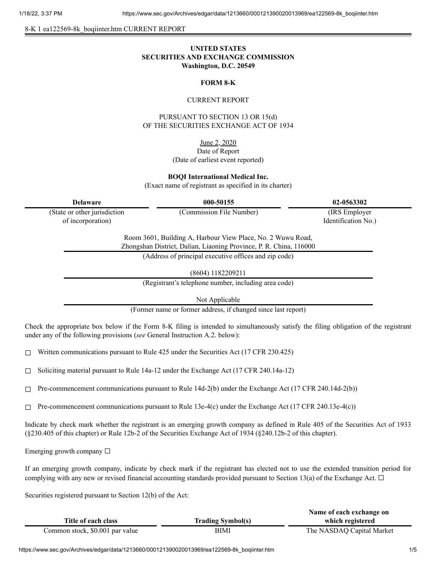8-K 1 ea122569-8k\_boqiinter.htm CURRENT REPORT

# **UNITED STATES SECURITIES AND EXCHANGE COMMISSION Washington, D.C. 20549**

### **FORM 8-K**

#### CURRENT REPORT

PURSUANT TO SECTION 13 OR 15(d) OF THE SECURITIES EXCHANGE ACT OF 1934

June 2, 2020

### Date of Report (Date of earliest event reported)

**BOQI International Medical Inc.**

(Exact name of registrant as specified in its charter)

| <b>Delaware</b>                                   | 000-50155                                                                                                                         | 02-0563302                            |
|---------------------------------------------------|-----------------------------------------------------------------------------------------------------------------------------------|---------------------------------------|
| (State or other jurisdiction<br>of incorporation) | (Commission File Number)                                                                                                          | (IRS Employer)<br>Identification No.) |
|                                                   | Room 3601, Building A, Harbour View Place, No. 2 Wuwu Road,<br>Zhongshan District, Dalian, Liaoning Province, P. R. China, 116000 |                                       |
|                                                   | (Address of principal executive offices and zip code)                                                                             |                                       |
|                                                   | (8604) 1182209211                                                                                                                 |                                       |
|                                                   | (Registrant's telephone number, including area code)                                                                              |                                       |
|                                                   | Not Applicable                                                                                                                    |                                       |
|                                                   | (Former name or former address, if changed since last report)                                                                     |                                       |

Check the appropriate box below if the Form 8-K filing is intended to simultaneously satisfy the filing obligation of the registrant under any of the following provisions (*see* General Instruction A.2. below):

 $\Box$  Written communications pursuant to Rule 425 under the Securities Act (17 CFR 230.425)

☐ Soliciting material pursuant to Rule 14a-12 under the Exchange Act (17 CFR 240.14a-12)

 $\Box$  Pre-commencement communications pursuant to Rule 14d-2(b) under the Exchange Act (17 CFR 240.14d-2(b))

 $\Box$  Pre-commencement communications pursuant to Rule 13e-4(c) under the Exchange Act (17 CFR 240.13e-4(c))

Indicate by check mark whether the registrant is an emerging growth company as defined in Rule 405 of the Securities Act of 1933 (§230.405 of this chapter) or Rule 12b-2 of the Securities Exchange Act of 1934 (§240.12b-2 of this chapter).

Emerging growth company  $\Box$ 

If an emerging growth company, indicate by check mark if the registrant has elected not to use the extended transition period for complying with any new or revised financial accounting standards provided pursuant to Section 13(a) of the Exchange Act.  $\Box$ 

Securities registered pursuant to Section 12(b) of the Act:

|                                 |                          | Name of each exchange on  |
|---------------------------------|--------------------------|---------------------------|
| Title of each class             | <b>Trading Symbol(s)</b> | which registered          |
| Common stock, \$0.001 par value | BIMI                     | The NASDAQ Capital Market |

https://www.sec.gov/Archives/edgar/data/1213660/000121390020013969/ea122569-8k\_boqiinter.htm 1/5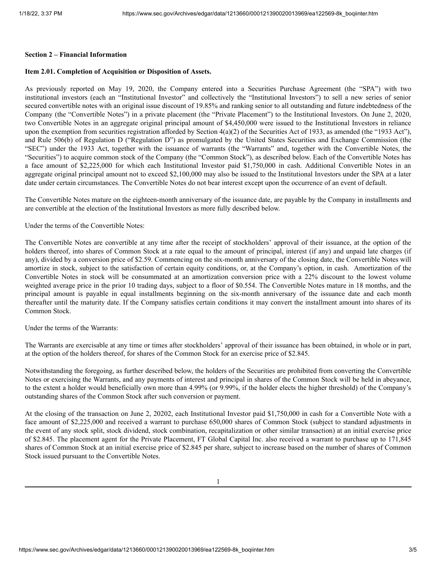#### **Section 2 – Financial Information**

# **Item 2.01. Completion of Acquisition or Disposition of Assets.**

As previously reported on May 19, 2020, the Company entered into a Securities Purchase Agreement (the "SPA") with two institutional investors (each an "Institutional Investor" and collectively the "Institutional Investors") to sell a new series of senior secured convertible notes with an original issue discount of 19.85% and ranking senior to all outstanding and future indebtedness of the Company (the "Convertible Notes") in a private placement (the "Private Placement") to the Institutional Investors. On June 2, 2020, two Convertible Notes in an aggregate original principal amount of \$4,450,000 were issued to the Institutional Investors in reliance upon the exemption from securities registration afforded by Section 4(a)(2) of the Securities Act of 1933, as amended (the "1933 Act"), and Rule 506(b) of Regulation D ("Regulation D") as promulgated by the United States Securities and Exchange Commission (the "SEC") under the 1933 Act, together with the issuance of warrants (the "Warrants" and, together with the Convertible Notes, the "Securities") to acquire common stock of the Company (the "Common Stock"), as described below. Each of the Convertible Notes has a face amount of \$2,225,000 for which each Institutional Investor paid \$1,750,000 in cash. Additional Convertible Notes in an aggregate original principal amount not to exceed \$2,100,000 may also be issued to the Institutional Investors under the SPA at a later date under certain circumstances. The Convertible Notes do not bear interest except upon the occurrence of an event of default.

The Convertible Notes mature on the eighteen-month anniversary of the issuance date, are payable by the Company in installments and are convertible at the election of the Institutional Investors as more fully described below.

Under the terms of the Convertible Notes:

The Convertible Notes are convertible at any time after the receipt of stockholders' approval of their issuance, at the option of the holders thereof, into shares of Common Stock at a rate equal to the amount of principal, interest (if any) and unpaid late charges (if any), divided by a conversion price of \$2.59. Commencing on the six-month anniversary of the closing date, the Convertible Notes will amortize in stock, subject to the satisfaction of certain equity conditions, or, at the Company's option, in cash. Amortization of the Convertible Notes in stock will be consummated at an amortization conversion price with a 22% discount to the lowest volume weighted average price in the prior 10 trading days, subject to a floor of \$0.554. The Convertible Notes mature in 18 months, and the principal amount is payable in equal installments beginning on the six-month anniversary of the issuance date and each month thereafter until the maturity date. If the Company satisfies certain conditions it may convert the installment amount into shares of its Common Stock.

Under the terms of the Warrants:

The Warrants are exercisable at any time or times after stockholders' approval of their issuance has been obtained, in whole or in part, at the option of the holders thereof, for shares of the Common Stock for an exercise price of \$2.845.

Notwithstanding the foregoing, as further described below, the holders of the Securities are prohibited from converting the Convertible Notes or exercising the Warrants, and any payments of interest and principal in shares of the Common Stock will be held in abeyance, to the extent a holder would beneficially own more than 4.99% (or 9.99%, if the holder elects the higher threshold) of the Company's outstanding shares of the Common Stock after such conversion or payment.

At the closing of the transaction on June 2, 20202, each Institutional Investor paid \$1,750,000 in cash for a Convertible Note with a face amount of \$2,225,000 and received a warrant to purchase 650,000 shares of Common Stock (subject to standard adjustments in the event of any stock split, stock dividend, stock combination, recapitalization or other similar transaction) at an initial exercise price of \$2.845. The placement agent for the Private Placement, FT Global Capital Inc. also received a warrant to purchase up to 171,845 shares of Common Stock at an initial exercise price of \$2.845 per share, subject to increase based on the number of shares of Common Stock issued pursuant to the Convertible Notes.

1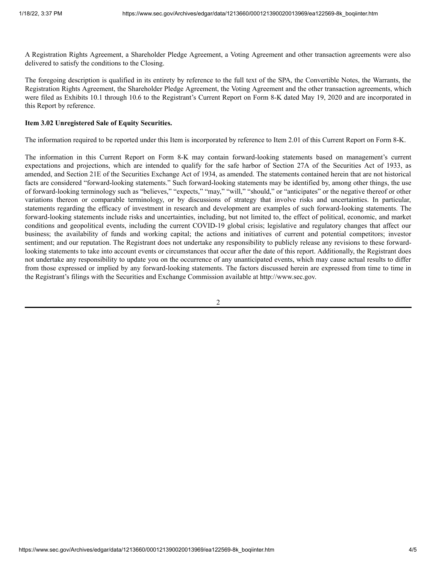A Registration Rights Agreement, a Shareholder Pledge Agreement, a Voting Agreement and other transaction agreements were also delivered to satisfy the conditions to the Closing.

The foregoing description is qualified in its entirety by reference to the full text of the SPA, the Convertible Notes, the Warrants, the Registration Rights Agreement, the Shareholder Pledge Agreement, the Voting Agreement and the other transaction agreements, which were filed as Exhibits 10.1 through 10.6 to the Registrant's Current Report on Form 8-K dated May 19, 2020 and are incorporated in this Report by reference.

## **Item 3.02 Unregistered Sale of Equity Securities.**

The information required to be reported under this Item is incorporated by reference to Item 2.01 of this Current Report on Form 8-K.

The information in this Current Report on Form 8-K may contain forward-looking statements based on management's current expectations and projections, which are intended to qualify for the safe harbor of Section 27A of the Securities Act of 1933, as amended, and Section 21E of the Securities Exchange Act of 1934, as amended. The statements contained herein that are not historical facts are considered "forward-looking statements." Such forward-looking statements may be identified by, among other things, the use of forward-looking terminology such as "believes," "expects," "may," "will," "should," or "anticipates" or the negative thereof or other variations thereon or comparable terminology, or by discussions of strategy that involve risks and uncertainties. In particular, statements regarding the efficacy of investment in research and development are examples of such forward-looking statements. The forward-looking statements include risks and uncertainties, including, but not limited to, the effect of political, economic, and market conditions and geopolitical events, including the current COVID-19 global crisis; legislative and regulatory changes that affect our business; the availability of funds and working capital; the actions and initiatives of current and potential competitors; investor sentiment; and our reputation. The Registrant does not undertake any responsibility to publicly release any revisions to these forwardlooking statements to take into account events or circumstances that occur after the date of this report. Additionally, the Registrant does not undertake any responsibility to update you on the occurrence of any unanticipated events, which may cause actual results to differ from those expressed or implied by any forward-looking statements. The factors discussed herein are expressed from time to time in the Registrant's filings with the Securities and Exchange Commission available at http://www.sec.gov.

2